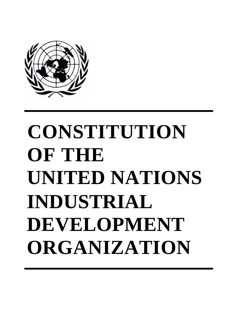

# **CONSTITUTION OF THE UNITED NATIONS INDUSTRIAL DEVELOPMENT ORGANIZATION**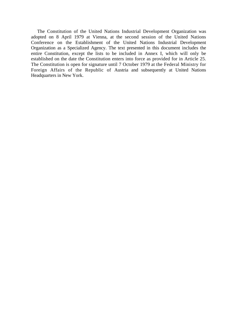The Constitution of the United Nations Industrial Development Organization was adopted on 8 April 1979 at Vienna, at the second session of the United Nations Conference on the Establishment of the United Nations Industrial Development Organization as a Specialized Agency. The text presented in this document includes the entire Constitution, except the lists to be included in Annex I, which will only be established on the date the Constitution enters into force as provided for in Article 25. The Constitution is open for signature until 7 October 1979 at the Federal Ministry for Foreign Affairs of the Republic of Austria and subsequently at United Nations Headquarters in New York.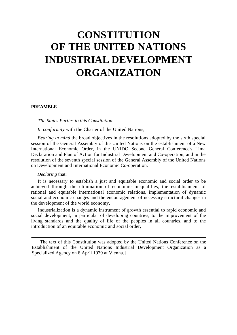## **CONSTITUTION OF THE UNITED NATIONS INDUSTRIAL DEVELOPMENT ORGANIZATION**

### **PREAMBLE**

*Tlie States Parties to this Constitution.* 

*In conformity* with the Charter of the United Nations,

*Bearing in mind* the broad objectives in the resolutions adopted by the sixth special session of the General Assembly of the United Nations on the establishment of a New International Economic Order, in the UNIDO Second General Conference's Lima Declaration and Plan of Action for Industrial Development and Co-operation, and in the resolution of the seventh special session of the General Assembly of the United Nations on Development and International Economic Co-operation,

#### *Declaring* that:

It is necessary to establish a just and equitable economic and social order to be achieved through the elimination of economic inequalities, the establishment of rational and equitable international economic relations, implementation of dynamic social and economic changes and the encouragement of necessary structural changes in the development of the world economy,

Industrialization is a dynamic instrument of growth essential to rapid economic and social development, in particular of developing countries, to the improvement of the living standards and the quality of life of the peoples in all countries, and to the introduction of an equitable economic and social order,

[The text of this Constitution was adopted by the United Nations Conference on the Establishment of the United Nations Industrial Development Organization as a Specialized Agency on 8 April 1979 at Vienna.]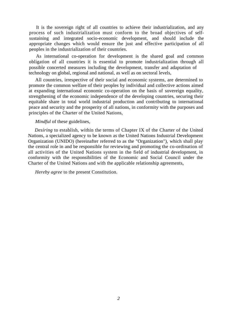It is the sovereign right of all countries to achieve their industrialization, and any process of such industrialization must conform to the broad objectives of selfsustaining and integrated socio-economic development, and should include the appropriate changes which would ensure the just and effective participation of all peoples in the industrialization of their countries.

possible concerted measures including the development, transfer and adaptation of technology on global, regional and national, as well as on sectoral levels, As international co-operation for development is the shared goal and common obligation of all countries it is essential to promote industrialization through all

All countries, irrespective of their social and economic systems, are determined to promote the common welfare of their peoples by individual and collective actions aimed at expanding international economic co-operation on the basis of sovereign equality, strengthening of the economic independence of the developing countries, securing their equitable share in total world industrial production and contributing to international peace and security and the prosperity of all nations, in conformity with the purposes and principles of the Charter of the United Nations,

#### *Mindful* of these guidelines,

*Desiring* to establish, within the terms of Chapter IX of the Charter of the United Nations, a specialized agency to be known as the United Nations Industrial Development Organization (UNIDO) (hereinafter referred to as the "Organization"), which shall play the central role in and be responsible for reviewing and promoting the co-ordination of all activities of the United Nations system in the field of industrial development, in conformity with the responsibilities of the Economic and Social Council under the Charter of the United Nations and with the applicable relationship agreements,

*Hereby agree* to the present Constitution.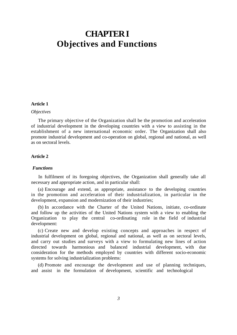### **CHAPTER I Objectives and Functions**

### **Article 1**

#### *Objectives*

The primary objective of the Organization shall be the promotion and acceleration of industrial development in the developing countries with a view to assisting in the establishment of a new international economic order. The Organization shall also promote industrial development and co-operation on global, regional and national, as well as on sectoral levels.

### **Article 2**

### *Functions*

In fulfilment of its foregoing objectives, the Organization shall generally take all necessary and appropriate action, and in particular shall:

(a) Encourage and extend, as appropriate, assistance to the developing countries in the promotion and acceleration of their industrialization, in particular in the development, expansion and modernization of their industries;

(b) In accordance with the Charter of the United Nations, initiate, co-ordinate and follow up the activities of the United Nations system with a view to enabling the Organization to play the central co-ordinating role in the field of industrial development:

(c) Create new and develop existing concepts and approaches in respect of industrial development on global, regional and national, as well as on sectoral levels, and carry out studies and surveys with a view to formulating new lines of action directed towards harmonious and balanced industrial development, with due consideration for the methods employed by countries with different socio-economic systems for solving industrialization problems:

(d) Promote and encourage the development and use of planning techniques, and assist in the formulation of development, scientific and technological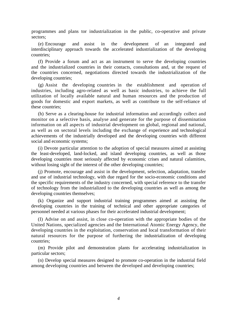programmes and plans tor industrialization in the public, co-operative and private sectors;

(e) Encourage and assist in the development of an integrated and interdisciplinary approach towards the accelerated industrialization of the developing countries;

(f) Provide a forum and act as an instrument to serve the developing countries and the industrialized countries in their contacts, consultations and, ut the request of the countries concerned, negotiations directed towards the industrialization of the developing countries;

(g) Assist the developing countries in the establishment and operation of industries, including agro-related as well as basic industries, to achieve the full utilization of locally available natural and human resources and the production of goods for domestic and export markets, as well as contribute to the self-reliance of these countries;

(h) Serve as a clearing-house for industrial information and accordingly collect and monitor on a selective basis, analyse and generate for the purpose of dissemination information on all aspects of industrial development on global, regional and national, as well as on sectoral levels including the exchange of experience and technological achievements of the industrially developed and the developing countries with different social and economic systems;

(i) Devote particular attention to the adoption of special measures aimed at assisting the least-developed, land-locked, and island developing countries, as well as those developing countries most seriously affected by economic crises and natural calamities, without losing sight of the interest of the other developing countries;

(j) Promote, encourage and assist in the development, selection, adaptation, transfer and use of industrial technology, with due regard for the socio-economic conditions and the specific requirements of the industry concerned, with special reference to the transfer of technology from the industrialized to the developing countries as well as among the developing countries themselves;

(k) Organize and support industrial training programmes aimed at assisting the developing countries in the training of technical and other appropriate categories of personnel needed at various phases for their accelerated industrial development;

(I) Advise on and assist, in close co-operation with the appropriate bodies of the United Nations, specialized agencies and the International Atomic Energy Agency, the developing countries in the exploitation, conservation and local transformation of their natural resources for the purpose of furthering the industrialization of developing countries;

(m) Provide pilot and demonstration plants for accelerating industrialization in particular sectors;

(n) Develop special measures designed to promote co-operation in the industrial field among developing countries and between the developed and developing countries;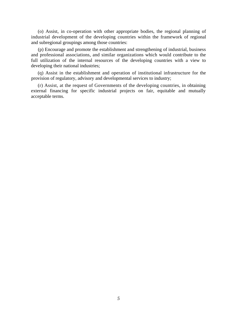(o) Assist, in co-operation with other appropriate bodies, the regional planning of industrial development of the developing countries within the framework of regional and subregional groupings among those countries:

(p) Encourage and promote the establishment and strengthening of industrial, business and professional associations, and similar organizations which would contribute to the full utilization of the internal resources of the developing countries with a view to developing their national industries;

(q) Assist in the establishment and operation of institutional infrastructure for the provision of regulatory, advisory and developmental services to industry;

(r) Assist, at the request of Governments of the developing countries, in obtaining external financing for specific industrial projects on fair, equitable and mutually acceptable terms.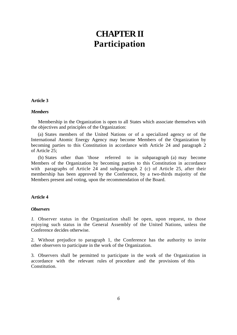### **CHAPTER II Participation**

### **Article 3**

### *Members*

Membership in the Organization is open to all States which associate themselves with the objectives and principles of the Organization:

(a) States members of the United Nations or of a specialized agency or of the International Atomic Energy Agency may become Members of the Organization by becoming parties to this Constitution in accordance with Article 24 and paragraph 2 of Article 25;

(b) States other than 'those referred to in subparagraph (a) may become Members of the Organization by becoming parties to this Constitution in accordance with paragraphs of Article 24 and subparagraph 2 (c) of Article 25, after their membership has been approved by the Conference, by a two-thirds majority of the Members present and voting, upon the recommendation of the Board.

### **Article 4**

### *Observers*

*1.* Observer status in the Organization shall be open, upon request, to those enjoying such status in the General Assembly of the United Nations, unless the Conference decides otherwise.

2. Without prejudice to paragraph 1, the Conference has the authority to invite other observers to participate in the work of the Organization.

3. Observers shall be permitted to participate in the work of the Organization in accordance with the relevant rules of procedure and the provisions of this Constitution.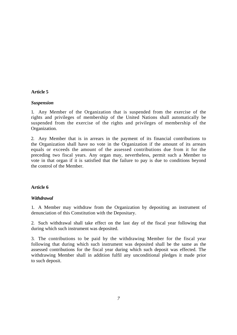### **Article 5**

### *Suspension*

1. Any Member of the Organization that is suspended from the exercise of the rights and privileges of membership of the United Nations shall automatically be suspended from the exercise of the rights and privileges of membership of the Organization.

2. Any Member that is in arrears in the payment of its financial contributions to the Organization shall have no vote in the Organization if the amount of its arrears equals or exceeds the amount of the assessed contributions due from it for the preceding two fiscal years. Any organ may, nevertheless, permit such a Member to vote in that organ if it is satisfied that the failure to pay is due to conditions beyond the control of the Member.

### **Article 6**

### *Withdrawal*

1. A Member may withdraw from the Organization by depositing an instrument of denunciation of this Constitution with the Depositary.

2. Such withdrawal shall take effect on the last day of the fiscal year following that during which such instrument was deposited.

3. The contributions to be paid by the withdrawing Member for the fiscal year following that during which such instrument was deposited shall be the same as the assessed contributions for the fiscal year during which such deposit was effected. The withdrawing Member shall in addition fulfil any unconditional pledges it made prior to such deposit.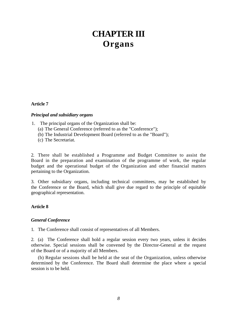### **CHAPTER III Organs**

### **Article 7**

### *Principal and subsidiary organs*

- 1.The principal organs of the Organization shall be:
	- (a) The General Conference (referred to as the "Conference");
	- (b) The Industrial Development Board (referred to as the "Board");
	- (c) The Secretariat.

2. There shall be established a Programme and Budget Committee to assist the Board in the preparation and examination of the programme of work, the regular budget and the operational budget of the Organization and other financial matters pertaining to the Organization.

3. Other subsidiary organs, including technical committees, may be established by the Conference or the Board, which shall give due regard to the principle of equitable geographical representation.

### **Article 8**

### *General Conference*

1. The Conference shall consist of representatives of all Members.

2. (a) The Conference shall hold a regular session every two years, unless it decides otherwise. Special sessions shall be convened by the Director-General at the request of the Board or of a majority of all Members.

(b) Regular sessions shall be held at the seat of the Organization, unless otherwise determined by the Conference. The Board shall determine the place where a special session is to be held.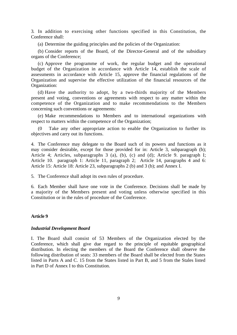3. In addition to exercising other functions specified in this Constitution, the Conference shall:

(a) Determine the guiding principles and the policies of the Organization:

(b) Consider reports of the Board, of the Director-General and of the subsidiary organs of the Conference;

(c) Approve the programme of work, the regular budget and the operational budget of the Organization in accordance with Article 14, establish the scale of assessments in accordance with Article 15, approve the financial regulations of the Organization and supervise the effective utilization of the financial resources of the Organization:

(d) Have the authority to adopt, by a two-thirds majority of the Members present and voting, conventions or agreements with respect to any matter within the competence of the Organization and to make recommendations to the Members concerning such conventions or agreements:

(e) Make recommendations to Members and to international organizations with respect to matters within the competence of the Organization;

Take any other appropriate action to enable the Organization to further its objectives and carry out its functions.

4. The Conference may delegate to the Board such of its powers and functions as it may consider desirable, except for those provided for in: Article 3, subparagraph (b); Article 4; Articles, subparagraphs 3 (a), (b), (c) and (d); Article 9. paragraph I; Article 10. paragraph 1: Article 11, paragraph 2; Article 14, paragraphs 4 and 6: Article 15: Article 18: Article 23, subparagraphs 2 (b) and 3 (b); and Annex I.

5. The Conference shall adopt its own rules of procedure.

6. Each Member shall have one vote in the Conference. Decisions shall be made by a majority of the Members present and voting unless otherwise specified in this Constitution or in the rules of procedure of the Conference.

### **Article 9**

#### *Industrial Development Board*

I. The Board shall consist of 53 Members of the Organization elected by the Conference, which shall give due regard to the principle of equitable geographical distribution. In electing the members of the Board the Conference shall observe the following distribution of seats: 33 members of the Board shall be elected from the States listed in Parts A and C. 15 from the States listed in Part B, and 5 from the Stales listed in Part D of Annex I to this Constitution.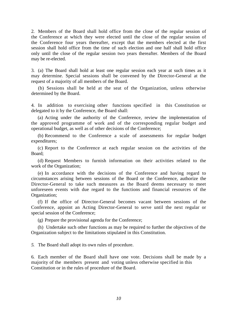2. Members of the Board shall hold office from the close of the regular session of the Conference at which they were elected until the close of the regular session of the Conference four years thereafter, except that the members elected at the first session shall hold office from the time of such election and one half shall hold office only until the close of the regular session two years thereafter. Members of the Board may be re-elected.

3. (a) The Board shall hold at least one regular session each year at such times as it may determine. Special sessions shall be convened by the Director-General at the request of a majority of all members of the Board.

(b) Sessions shall be held at the seat of the Organization, unless otherwise determined by the Board.

4. In addition to exercising other functions specified in this Constitution or delegated to it by the Conference, the Board shall:

(a) Acting under the authority of the Conference, review the implementation of the approved programme of work and of the corresponding regular budget and operational budget, as well as of other decisions of the Conference;

(b) Recommend to the Conference a scale of assessments for regular budget expenditures;

(c) Report to the Conference at each regular session on the activities of the Board;

(d) Request Members to furnish information on their activities related to the work of the Organization;

(e) In accordance with the decisions of the Conference and having regard to circumstances arising between sessions of the Board or the Conference, authorize the Director-General to take such measures as the Board deems necessary to meet unforeseen events with due regard to the functions and financial resources of the Organization;

(f) If the office of Director-General becomes vacant between sessions of the Conference, appoint an Acting Director-General to serve until the next regular or special session of the Conference;

(g) Prepare the provisional agenda for the Conference;

(h) Undertake such other functions as may be required to further the objectives of the Organization subject to the limitations stipulated in this Constitution.

*5.* The Board shall adopt its own rules of procedure.

6. Each member of the Board shall have one vote. Decisions shall be made by a majority of the members present and voting unless otherwise specified in this Constitution or in the rules of procedure of the Board.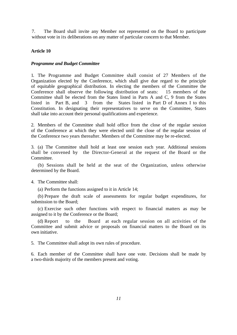7. The Board shall invite any Member not represented on the Board to participate without vote in its deliberations on any matter of particular concern to that Member.

### **Article 10**

### *Programme and Budget Committee*

1. The Programme and Budget Committee shall consist of 27 Members of the Organization elected by the Conference, which shall give due regard to the principle of equitable geographical distribution. In electing the members of the Committee the Conference shall observe the following distribution of seats: 15 members of the Committee shall be elected from the States listed in Parts A and C, 9 from the States listed in Part B, and 3 from the States listed in Part D of Annex I to this Constitution. In designating their representatives to serve on the Committee, States shall take into account their personal qualifications and experience.

2. Members of the Committee shall hold office from the close of the regular session of the Conference at which they were elected until the close of the regular session of the Conference two years thereafter. Members of the Committee may be re-elected.

3. (a) The Committee shall hold at least one session each year. Additional sessions shall be convened by the Director-General at the request of the Board or the Committee.

(b) Sessions shall be held at the seat of the Organization, unless otherwise determined by the Board.

4. The Committee shall:

(a) Perform the functions assigned to it in Article 14;

(b) Prepare the draft scale of assessments for regular budget expenditures, for submission to the Board;

(c) Exercise such other functions with respect to financial matters as may be assigned to it by the Conference or the Board;

(d) Report to the Board at each regular session on all activities of the Committee and submit advice or proposals on financial matters to the Board on its own initiative.

5. The Committee shall adopt its own rules of procedure.

6. Each member of the Committee shall have one vote. Decisions shall be made by a two-thirds majority of the members present and voting.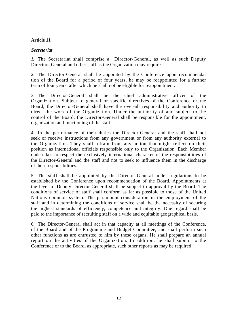### **Article 11**

### *Secretariat*

*1.* The Secretariat shall comprise a Director-General, as well as such Deputy Directors-General and other staff as the Organization may require.

2. The Director-General shall be appointed by the Conference upon recommendation of the Board for a period of four years, he may be reappointed for a further term of four years, after which he shall not be eligible for reappointment.

3. The Director-General shall be the chief administrative officer of the Organization. Subject to general or specific directives of the Conference or the Board, the Director-General shall have the over-all responsibility and authority to direct the work of the Organization. Under the authority of and subject to the control of the Board, the Director-General shall be responsible for the appointment, organization and functioning of the staff.

4. In the performance of their duties the Director-General and the staff shall not seek or receive instructions from any government or from any authority external to the Organization. They shall refrain from any action that might reflect on their position as international officials responsible only to the Organization. Each Member undertakes to respect the exclusively international character of the responsibilities of the Director-General and the staff and not to seek to influence them in the discharge of their responsibilities.

5. The staff shall be appointed by the Director-General under regulations to be established by the Conference upon recommendation of the Board. Appointments at the level of Deputy Director-General shall be subject to approval by the Board. The conditions of service of staff shall conform as far as possible to those of the United Nations common system. The paramount consideration in the employment of the staff and in determining the conditions of service shall be the necessity of securing the highest standards of efficiency, competence and integrity. Due regard shall be paid to the importance of recruiting staff on a wide and equitable geographical basis.

6. The Director-General shall act in that capacity at all meetings of the Conference, of the Board and of the Programme and Budget Committee, and shall perform such other functions as are entrusted to him by these organs. He shall prepare an annual report on the activities of the Organization. In addition, he shall submit to the Conference or to the Board, as appropriate, such other reports as may be required.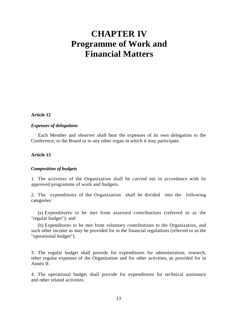### **CHAPTER IV Programme of Work and Financial Matters**

**Article 12** 

### *Expenses of delegations*

Each Member and observer shall bear the expenses of its own delegation to the Conference, to the Board or to any other organ in which it may participate.

### **Article 13**

### *Composition of budgets*

1. The activities of the Organization shall be carried out in accordance with its approved programme of work and budgets.

2. The expenditures of the Organization shall be divided into the following categories:

(a) Expenditures to be met from assessed contributions (referred to as the "regular budget"): and

(b) Expenditures to be met from voluntary contributions to the Organization, and such other income as may be provided for in the financial regulations (referred to as the "operational budget").

3. The regular budget shall provide for expenditures for administration, research, other regular expenses of the Organization and for other activities, as provided for in Annex II.

4. The operational budget shall provide for expenditures for technical assistance and other related activities.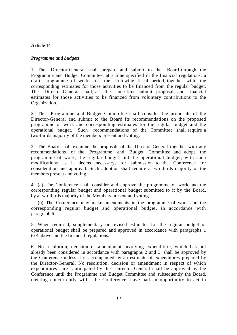### **Article 14**

### *Programme and budgets*

1. The Director-General shall prepare and submit to the Board through the Programme and Budget Committee, at a time specified in the financial regulations, a draft programme of work for the following fiscal period, together with the corresponding estimates for those activities to be financed from the regular budget. The Director-General shall, at the same time, submit proposals and financial estimates for those activities to be financed from voluntary contributions to the Organization.

2. The Programme and Budget Committee shall consider the proposals of the Director-General and submit to the Board its recommendations on the proposed programme of work and corresponding estimates for the regular budget and the operational budget. Such recommendations of the Committee shall require a two-thirds majority of the members present and voting.

3. The Board shall examine the proposals of the Director-General together with any recommendations of the Programme and Budget Committee and adopt the programme of work, the regular budget and the operational budget, with such modifications as it deems necessary, for submission to the Conference for consideration and approval. Such adoption shall require a two-thirds majority of the members present and voting.

4. (a) The Conference shall consider and approve the programme of work and the corresponding regular budget and operational budget submitted to it by the Board, by a two-thirds majority of the Members present and voting.

(b) The Conference may make amendments in the programme of work and the corresponding regular budget and operational budget, in accordance with paragraph 6.

5. When required, supplementary or revised estimates for the regular budget or operational budget shall be prepared and approved in accordance with paragraphs 1 to 4 above and the financial regulations.

6. No resolution, decision or amendment involving expenditure, which has not already been considered in accordance with paragraphs 2 and 3, shall be approved by the Conference unless it is accompanied by an estimate of expenditures prepared by the Director-General. No resolution, decision or amendment in respect of which expenditures are anticipated by the Director-General shall be approved by the Conference until the Programme and Budget Committee and subsequently the Board, meeting concurrently with the Conference, have had an opportunity to act in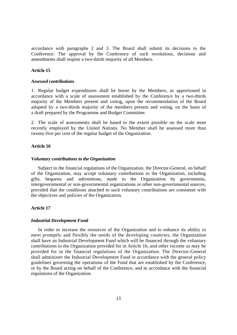accordance with paragraphs 2 and 3. The Board shall submit its decisions to the Conference. The approval by the Conference of such resolutions, decisions and amendments shall require a two-thirds majority of all Members.

### **Article 15**

#### *Assessed contributions*

*1.* Regular budget expenditures shall be borne by the Members, as apportioned in accordance with a scale of assessment established by the Conference by a two-thirds majority of the Members present and voting, upon the recommendation of the Board adopted by a two-thirds majority of the members present and voting, on the basis of a draft prepared by the Programme and Budget Committee.

2. The scale of assessments shall be based to the extent possible on the scale most recently employed by the United Nations. No Member shall be assessed more than twenty-five per cent of the regular budget of the Organization.

### **Article 16**

#### *Voluntary contributions to the Organization*

Subject to the financial regulations of the Organization, the Director-General, on behalf of the Organization, may accept voluntary contributions to the Organization, including gifts, bequests and subventions, made to the Organization by governments, intergovernmental or non-governmental organizations or other non-governmental sources, provided that the conditions attached to such voluntary contributions are consistent with the objectives and policies of the Organization.

### **Article 17**

### *Industrial Development Fund*

In order to increase the resources of the Organization and to enhance its ability to meet promptly and flexibly the needs of the developing countries, the Organization shall have an Industrial Development Fund which will be financed through the voluntary contributions to the Organization provided for in Article 16, and other income as may be provided for in the financial regulations of the Organization. The Director-General shall administer the Industrial Development Fund in accordance with the general policy guidelines governing the operations of the Fund that are established by the Conference, or by the Board acting on behalf of the Conference, and in accordance with the financial regulations of the Organization.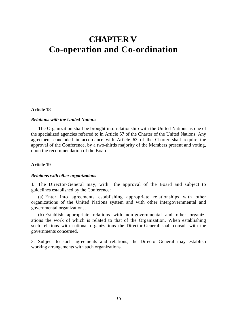### **CHAPTER V Co-operation and Co-ordination**

### **Article 18**

### *Relations with the United Nations*

The Organization shall be brought into relationship with the United Nations as one of the specialized agencies referred to in Article 57 of the Charter of the United Nations. Any agreement concluded in accordance with Article 63 of the Charter shall require the approval of the Conference, by a two-thirds majority of the Members present and voting, upon the recommendation of the Board.

### **Article 19**

#### *Relations with other organizations*

1. The Director-General may, with the approval of the Board and subject to guidelines established by the Conference:

(a) Enter into agreements establishing appropriate relationships with other organizations of the United Nations system and with other intergovernmental and governmental organizations,

(b) Establish appropriate relations with non-governmental and other organizations the work of which is related to that of the Organization. When establishing such relations with national organizations the Director-General shall consult with the governments concerned.

3. Subject to such agreements and relations, the Director-General may establish working arrangements with such organizations.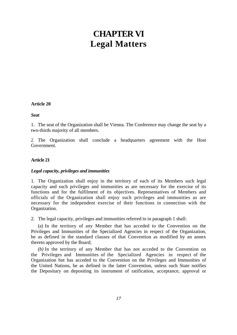### **CHAPTER VI Legal Matters**

### **Article 20**

*Seat* 

1. The seat of the Organization shall be Vienna. The Conference may change the seat by a two-thirds majority of all members.

*2.* The Organization shall conclude a headquarters agreement with the Host Government.

### **Article 21**

### *Legal capacity, privileges and immunities*

1. The Organization shall enjoy in the territory of each of its Members such legal capacity and such privileges and immunities as are necessary for the exercise of its functions and for the fulfilment of its objectives. Representatives of Members and officials of the Organization shall enjoy such privileges and immunities as are necessary for the independent exercise of their functions in connection with the Organization.

2. The legal capacity, privileges and immunities referred to in paragraph 1 shall:

(a) In the territory of any Member that has acceded to the Convention on the Privileges and Immunities of the Specialized Agencies in respect of the Organization, be as defined in the standard clauses of that Convention as modified by an annex thereto approved by the Board;

*(b)* In the territory of any Member that has not acceded to the Convention on the Privileges and Immunities of the Specialized Agencies in respect of the Organization but has acceded to the Convention on the Privileges and Immunities of the United Nations, be as defined in the latter Convention, unless such State notifies the Depositary on depositing its instrument of ratification, acceptance, approval or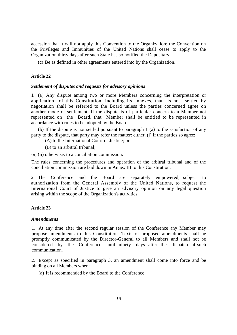accession that it will not apply this Convention to the Organization; the Convention on the Privileges and Immunities of the United Nations shall cease to apply to the Organization thirty days after such State has so notified the Depositary;

(c) Be as defined in other agreements entered into by the Organization.

### **Article 22**

### *Settlement of disputes and requests for advisory opinions*

1. (a) Any dispute among two or more Members concerning the interpretation or application of this Constitution, including its annexes, that is not settled by negotiation shall be referred to the Board unless the parties concerned agree on another mode of settlement. If the dispute is of particular concern to a Member not represented on the Board, that Member shall be entitled to be represented in accordance with rules to be adopted by the Board.

(b) If the dispute is not settled pursuant to paragraph 1 (a) to the satisfaction of any party to the dispute, that party may refer the matter: either, (i) if the parties so agree:

(A) to the International Court of Justice; or

(B) to an arbitral tribunal;

or, (ii) otherwise, to a conciliation commission.

The rules concerning the procedures and operation of the arbitral tribunal and of the conciliation commission are laid down in Annex III to this Constitution.

2. The Conference and the Board are separately empowered, subject to authorization from the General Assembly of the United Nations, to request the International Court of Justice to give an advisory opinion on any legal question arising within the scope of the Organization's activities.

### **Article 23**

### *Amendments*

1. At any time after the second regular session of the Conference any Member may propose amendments to this Constitution. Texts of proposed amendments shall be promptly communicated by the Director-General to all Members and shall not be considered by the Conference until ninety days after the dispatch of such communication.

*2.* Except as specified in paragraph 3, an amendment shall come into force and be binding on all Members when:

(a) It is recommended by the Board to the Conference;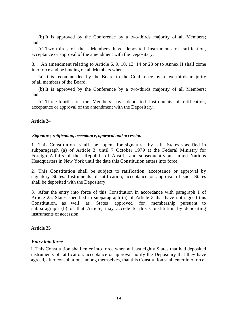(b) It is approved by the Conference by a two-thirds majority of all Members; and

(c) Two-thirds of the Members have deposited instruments of ratification, acceptance or approval of the amendment with the Depositary,

3. An amendment relating to Article 6, 9, 10, 13, 14 or 23 or to Annex II shall come into force and be binding on all Members when:

(a) It is recommended by the Board to the Conference by a two-thirds majority of all members of the Board;

(b) It is approved by the Conference by a two-thirds majority of all Members; and

(c) Three-fourths of the Members have deposited instruments of ratification, acceptance or approval of the amendment with the Depositary.

### **Article 24**

### *Signature, ratification, acceptance, approval and accession*

1. This Constitution shall be open for signature by all States specified in subparagraph (a) of Article 3, until 7 October 1979 at the Federal Ministry for Foreign Affairs of the Republic of Austria and subsequently at United Nations Headquarters in New York until the date this Constitution enters into force.

2. This Constitution shall be subject to ratification, acceptance or approval by signatory States. Instruments of ratification, acceptance or approval of such States shall be deposited with the Depositary.

3. After the entry into force of this Constitution in accordance with paragraph 1 of Article 25, States specified in subparagraph (a) of Article 3 that have not signed this Constitution, as well as States approved for membership pursuant to subparagraph (b) of that Article, may accede to this Constitution by depositing instruments of accession.

### **Article 25**

### *Entry into force*

I. This Constitution shall enter into force when at least eighty States that had deposited instruments of ratification, acceptance or approval notify the Depositary that they have agreed, after consultations among themselves, that this Constitution shall enter into force.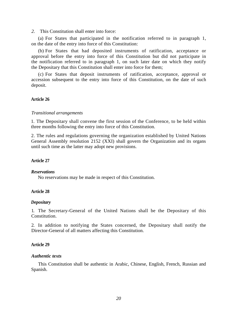*2.* This Constitution shall enter into force:

(a) For States that participated in the notification referred to in paragraph 1, on the date of the entry into force of this Constitution:

(b) For States that had deposited instruments of ratification, acceptance or approval before the entry into force of this Constitution but did not participate in the notification referred to in paragraph 1, on such later date on which they notify the Depositary that this Constitution shall enter into force for them;

(c) For States that deposit instruments of ratification, acceptance, approval or accession subsequent to the entry into force of this Constitution, on the date of such deposit.

### **Article 26**

### *Transitional arrangements*

1*.* The Depositary shall convene the first session of the Conference, to be held within three months following the entry into force of this Constitution.

2. The rules and regulations governing the organization established by United Nations General Assembly resolution 2152 (XXI) shall govern the Organization and its organs until such time as the latter may adopt new provisions.

### **Article 27**

#### *Reservations*

No reservations may be made in respect of this Constitution.

### **Article 28**

### *Depositary*

1. The Secretary-General of the United Nations shall be the Depositary of this Constitution.

2. In addition to notifying the States concerned, the Depositary shall notify the Director-General of all matters affecting this Constitution.

### **Article 29**

### *Authentic texts*

This Constitution shall be authentic in Arabic, Chinese, English, French, Russian and Spanish.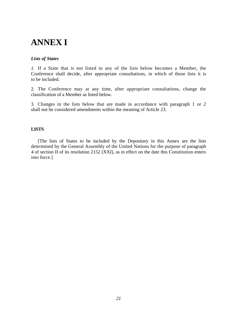### **ANNEX I**

### *Lists of States*

*1.* If a State that is not listed in any of the lists below becomes a Member, the Conference shall decide, after appropriate consultations, in which of those lists it is to be included.

2. The Conference may at any time, after appropriate consultations, change the classification of a Member as listed below.

3. Changes in the lists below that are made in accordance with paragraph 1 or 2 shall not be considered amendments within the meaning of Article 23.

### **LISTS**

[The lists of States to be included by the Depositary in this Annex are the lists determined by the General Assembly of the United Nations for the purpose of paragraph 4 of section II of its resolution 2152 (XXI), as in effect on the date this Constitution enters into force.]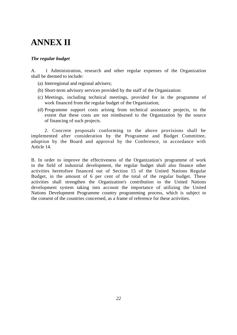### **ANNEX II**

### *The regular budget*

A. 1 Administration, research and other regular expenses of the Organization shall be deemed to include:

- (a) Interregional and regional advisers;
- (b) Short-term advisory services provided by the staff of the Organization:
- (c) Meetings, including technical meetings, provided for in the programme of work financed from the regular budget of the Organization;
- (d) Programme support costs arising from technical assistance projects, to the extent that these costs are not reimbursed to the Organization by the source of financing of such projects.

2. Concrete proposals conforming to the above provisions shall be implemented after consideration by the Programme and Budget Committee, adoption by the Board and approval by the Conference, in accordance with Article 14.

B. In order to improve the effectiveness of the Organization's programme of work in the field of industrial development, the regular budget shall also finance other activities heretofore financed out of Section 15 of the United Nations Regular Budget, in the amount of 6 per cent of the total of the regular budget. These activities shall strengthen the Organization's contribution to the United Nations development system taking into account the importance of utilizing the United Nations Development Programme country programming process, which is subject to the consent of the countries concerned, as a frame of reference for these activities.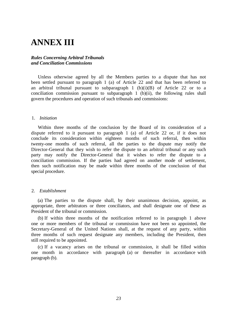### **ANNEX III**

### *Rules Concerning Arbitral Tribunals and Conciliation Commissions*

Unless otherwise agreed by all the Members parties to a dispute that has not been settled pursuant to paragraph 1 (a) of Article 22 and that has been referred to an arbitral tribunal pursuant to subparagraph 1  $(b)(i)(B)$  of Article 22 or to a conciliation commission pursuant to subparagraph 1 (b)(ii), the following rules shall govern the procedures and operation of such tribunals and commissions:

### 1. *Initiation*

Within three months of the conclusion by the Board of its consideration of a dispute referred to it pursuant to paragraph 1 (a) of Article 22 or, if it does not conclude its consideration within eighteen months of such referral, then within twenty-one months of such referral, all the parties to the dispute may notify the Director-General that they wish to refer the dispute to an arbitral tribunal or any such party may notify the Director-General that it wishes to refer the dispute to a conciliation commission. If the parties had agreed on another mode of settlement, then such notification may be made within three months of the conclusion of that special procedure.

### 2. *Establishment*

(a) The parties to the dispute shall, by their unanimous decision, appoint, as appropriate, three arbitrators or three conciliators, and shall designate one of these as President of the tribunal or commission.

(b) If within three months of the notification referred to in paragraph 1 above one or more members of the tribunal or commission have not been so appointed, the Secretary-General of the United Nations shall, at the request of any party, within three months of such request designate any members, including the President, then still required to be appointed.

(c) If a vacancy arises on the tribunal or commission, it shall be filled within one month in accordance with paragraph (a) or thereafter in accordance with paragraph (b).